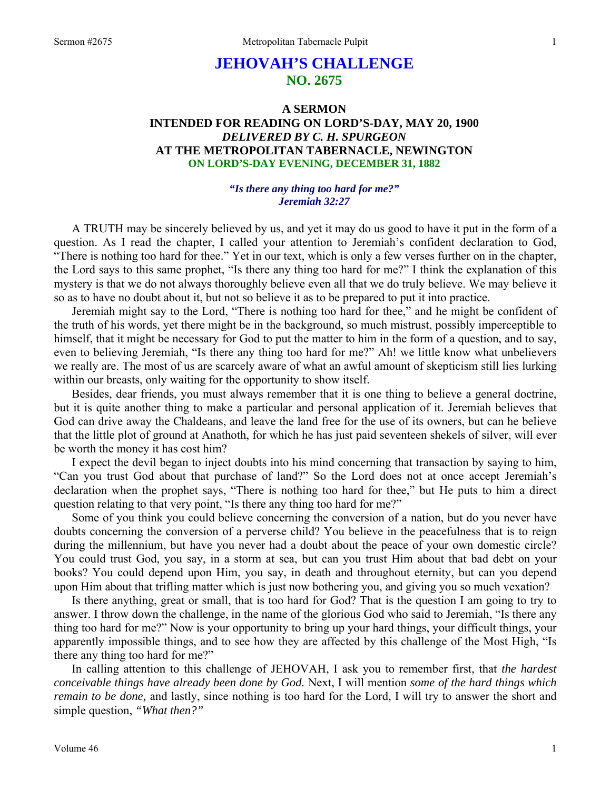# **JEHOVAH'S CHALLENGE NO. 2675**

## **A SERMON INTENDED FOR READING ON LORD'S-DAY, MAY 20, 1900**  *DELIVERED BY C. H. SPURGEON*  **AT THE METROPOLITAN TABERNACLE, NEWINGTON ON LORD'S-DAY EVENING, DECEMBER 31, 1882**

#### *"Is there any thing too hard for me?" Jeremiah 32:27*

A TRUTH may be sincerely believed by us, and yet it may do us good to have it put in the form of a question. As I read the chapter, I called your attention to Jeremiah's confident declaration to God, "There is nothing too hard for thee." Yet in our text, which is only a few verses further on in the chapter, the Lord says to this same prophet, "Is there any thing too hard for me?" I think the explanation of this mystery is that we do not always thoroughly believe even all that we do truly believe. We may believe it so as to have no doubt about it, but not so believe it as to be prepared to put it into practice.

Jeremiah might say to the Lord, "There is nothing too hard for thee," and he might be confident of the truth of his words, yet there might be in the background, so much mistrust, possibly imperceptible to himself, that it might be necessary for God to put the matter to him in the form of a question, and to say, even to believing Jeremiah, "Is there any thing too hard for me?" Ah! we little know what unbelievers we really are. The most of us are scarcely aware of what an awful amount of skepticism still lies lurking within our breasts, only waiting for the opportunity to show itself.

Besides, dear friends, you must always remember that it is one thing to believe a general doctrine, but it is quite another thing to make a particular and personal application of it. Jeremiah believes that God can drive away the Chaldeans, and leave the land free for the use of its owners, but can he believe that the little plot of ground at Anathoth, for which he has just paid seventeen shekels of silver, will ever be worth the money it has cost him?

I expect the devil began to inject doubts into his mind concerning that transaction by saying to him, "Can you trust God about that purchase of land?" So the Lord does not at once accept Jeremiah's declaration when the prophet says, "There is nothing too hard for thee," but He puts to him a direct question relating to that very point, "Is there any thing too hard for me?"

Some of you think you could believe concerning the conversion of a nation, but do you never have doubts concerning the conversion of a perverse child? You believe in the peacefulness that is to reign during the millennium, but have you never had a doubt about the peace of your own domestic circle? You could trust God, you say, in a storm at sea, but can you trust Him about that bad debt on your books? You could depend upon Him, you say, in death and throughout eternity, but can you depend upon Him about that trifling matter which is just now bothering you, and giving you so much vexation?

Is there anything, great or small, that is too hard for God? That is the question I am going to try to answer. I throw down the challenge, in the name of the glorious God who said to Jeremiah, "Is there any thing too hard for me?" Now is your opportunity to bring up your hard things, your difficult things, your apparently impossible things, and to see how they are affected by this challenge of the Most High, "Is there any thing too hard for me?"

In calling attention to this challenge of JEHOVAH, I ask you to remember first, that *the hardest conceivable things have already been done by God.* Next, I will mention *some of the hard things which remain to be done,* and lastly, since nothing is too hard for the Lord, I will try to answer the short and simple question, *"What then?"*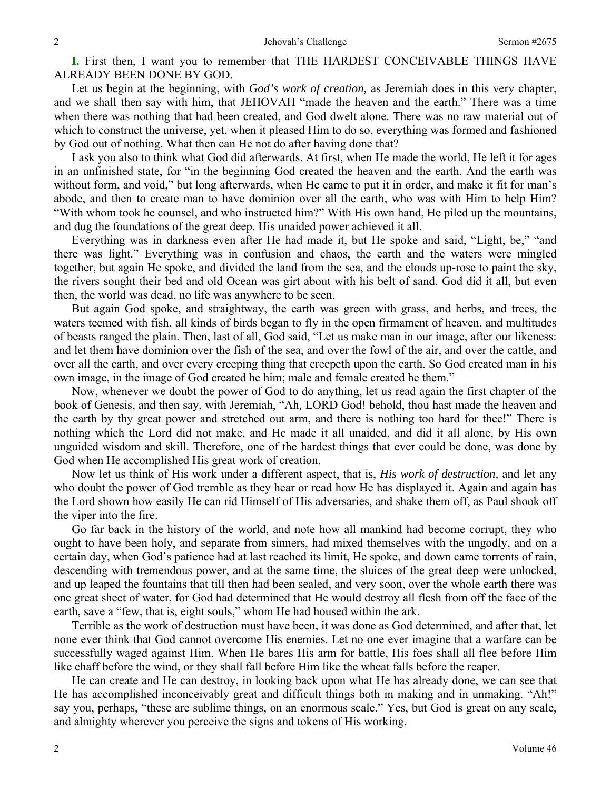**I.** First then, I want you to remember that THE HARDEST CONCEIVABLE THINGS HAVE ALREADY BEEN DONE BY GOD.

Let us begin at the beginning, with *God's work of creation,* as Jeremiah does in this very chapter, and we shall then say with him, that JEHOVAH "made the heaven and the earth." There was a time when there was nothing that had been created, and God dwelt alone. There was no raw material out of which to construct the universe, yet, when it pleased Him to do so, everything was formed and fashioned by God out of nothing. What then can He not do after having done that?

I ask you also to think what God did afterwards. At first, when He made the world, He left it for ages in an unfinished state, for "in the beginning God created the heaven and the earth. And the earth was without form, and void," but long afterwards, when He came to put it in order, and make it fit for man's abode, and then to create man to have dominion over all the earth, who was with Him to help Him? "With whom took he counsel, and who instructed him?" With His own hand, He piled up the mountains, and dug the foundations of the great deep. His unaided power achieved it all.

Everything was in darkness even after He had made it, but He spoke and said, "Light, be," "and there was light." Everything was in confusion and chaos, the earth and the waters were mingled together, but again He spoke, and divided the land from the sea, and the clouds up-rose to paint the sky, the rivers sought their bed and old Ocean was girt about with his belt of sand. God did it all, but even then, the world was dead, no life was anywhere to be seen.

But again God spoke, and straightway, the earth was green with grass, and herbs, and trees, the waters teemed with fish, all kinds of birds began to fly in the open firmament of heaven, and multitudes of beasts ranged the plain. Then, last of all, God said, "Let us make man in our image, after our likeness: and let them have dominion over the fish of the sea, and over the fowl of the air, and over the cattle, and over all the earth, and over every creeping thing that creepeth upon the earth. So God created man in his own image, in the image of God created he him; male and female created he them."

Now, whenever we doubt the power of God to do anything, let us read again the first chapter of the book of Genesis, and then say, with Jeremiah, "Ah*,* LORD God! behold, thou hast made the heaven and the earth by thy great power and stretched out arm, and there is nothing too hard for thee!" There is nothing which the Lord did not make, and He made it all unaided, and did it all alone, by His own unguided wisdom and skill. Therefore, one of the hardest things that ever could be done, was done by God when He accomplished His great work of creation.

Now let us think of His work under a different aspect, that is, *His work of destruction,* and let any who doubt the power of God tremble as they hear or read how He has displayed it. Again and again has the Lord shown how easily He can rid Himself of His adversaries, and shake them off, as Paul shook off the viper into the fire.

Go far back in the history of the world, and note how all mankind had become corrupt, they who ought to have been holy, and separate from sinners, had mixed themselves with the ungodly, and on a certain day, when God's patience had at last reached its limit, He spoke, and down came torrents of rain, descending with tremendous power, and at the same time, the sluices of the great deep were unlocked, and up leaped the fountains that till then had been sealed, and very soon, over the whole earth there was one great sheet of water, for God had determined that He would destroy all flesh from off the face of the earth, save a "few, that is, eight souls," whom He had housed within the ark.

Terrible as the work of destruction must have been, it was done as God determined, and after that, let none ever think that God cannot overcome His enemies. Let no one ever imagine that a warfare can be successfully waged against Him. When He bares His arm for battle, His foes shall all flee before Him like chaff before the wind, or they shall fall before Him like the wheat falls before the reaper.

He can create and He can destroy, in looking back upon what He has already done, we can see that He has accomplished inconceivably great and difficult things both in making and in unmaking. "Ah!" say you, perhaps, "these are sublime things, on an enormous scale." Yes, but God is great on any scale, and almighty wherever you perceive the signs and tokens of His working.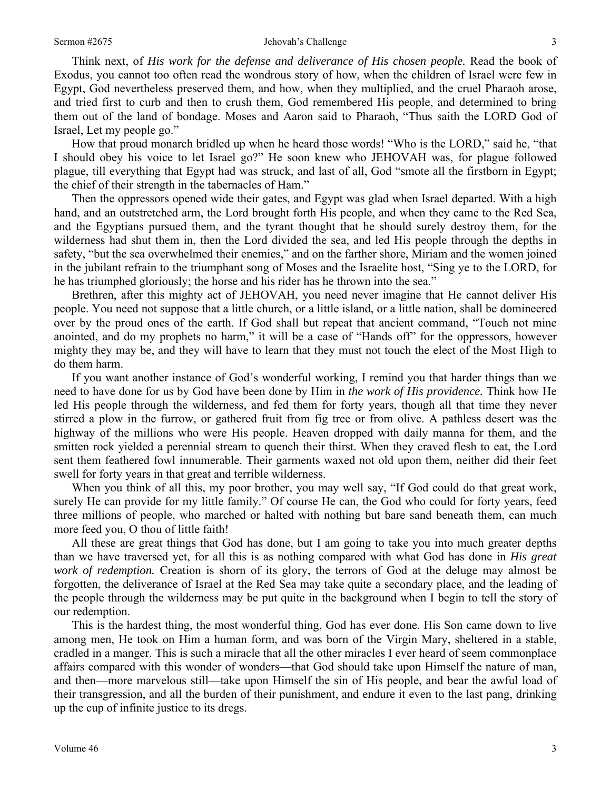#### Sermon #2675 3 3

Think next, of *His work for the defense and deliverance of His chosen people.* Read the book of Exodus, you cannot too often read the wondrous story of how, when the children of Israel were few in Egypt, God nevertheless preserved them, and how, when they multiplied, and the cruel Pharaoh arose, and tried first to curb and then to crush them, God remembered His people, and determined to bring them out of the land of bondage. Moses and Aaron said to Pharaoh, "Thus saith the LORD God of Israel, Let my people go."

How that proud monarch bridled up when he heard those words! "Who is the LORD," said he, "that I should obey his voice to let Israel go?" He soon knew who JEHOVAH was, for plague followed plague, till everything that Egypt had was struck, and last of all, God "smote all the firstborn in Egypt; the chief of their strength in the tabernacles of Ham."

Then the oppressors opened wide their gates, and Egypt was glad when Israel departed. With a high hand, and an outstretched arm, the Lord brought forth His people, and when they came to the Red Sea, and the Egyptians pursued them, and the tyrant thought that he should surely destroy them, for the wilderness had shut them in, then the Lord divided the sea, and led His people through the depths in safety, "but the sea overwhelmed their enemies," and on the farther shore, Miriam and the women joined in the jubilant refrain to the triumphant song of Moses and the Israelite host, "Sing ye to the LORD, for he has triumphed gloriously; the horse and his rider has he thrown into the sea."

Brethren, after this mighty act of JEHOVAH, you need never imagine that He cannot deliver His people. You need not suppose that a little church, or a little island, or a little nation, shall be domineered over by the proud ones of the earth. If God shall but repeat that ancient command, "Touch not mine anointed, and do my prophets no harm," it will be a case of "Hands off" for the oppressors, however mighty they may be, and they will have to learn that they must not touch the elect of the Most High to do them harm.

If you want another instance of God's wonderful working, I remind you that harder things than we need to have done for us by God have been done by Him in *the work of His providence.* Think how He led His people through the wilderness, and fed them for forty years, though all that time they never stirred a plow in the furrow, or gathered fruit from fig tree or from olive. A pathless desert was the highway of the millions who were His people. Heaven dropped with daily manna for them, and the smitten rock yielded a perennial stream to quench their thirst. When they craved flesh to eat, the Lord sent them feathered fowl innumerable. Their garments waxed not old upon them, neither did their feet swell for forty years in that great and terrible wilderness.

When you think of all this, my poor brother, you may well say, "If God could do that great work, surely He can provide for my little family." Of course He can, the God who could for forty years, feed three millions of people, who marched or halted with nothing but bare sand beneath them, can much more feed you, O thou of little faith!

All these are great things that God has done, but I am going to take you into much greater depths than we have traversed yet, for all this is as nothing compared with what God has done in *His great work of redemption.* Creation is shorn of its glory, the terrors of God at the deluge may almost be forgotten, the deliverance of Israel at the Red Sea may take quite a secondary place, and the leading of the people through the wilderness may be put quite in the background when I begin to tell the story of our redemption.

This is the hardest thing, the most wonderful thing, God has ever done. His Son came down to live among men, He took on Him a human form, and was born of the Virgin Mary, sheltered in a stable, cradled in a manger. This is such a miracle that all the other miracles I ever heard of seem commonplace affairs compared with this wonder of wonders—that God should take upon Himself the nature of man, and then—more marvelous still—take upon Himself the sin of His people, and bear the awful load of their transgression, and all the burden of their punishment, and endure it even to the last pang, drinking up the cup of infinite justice to its dregs.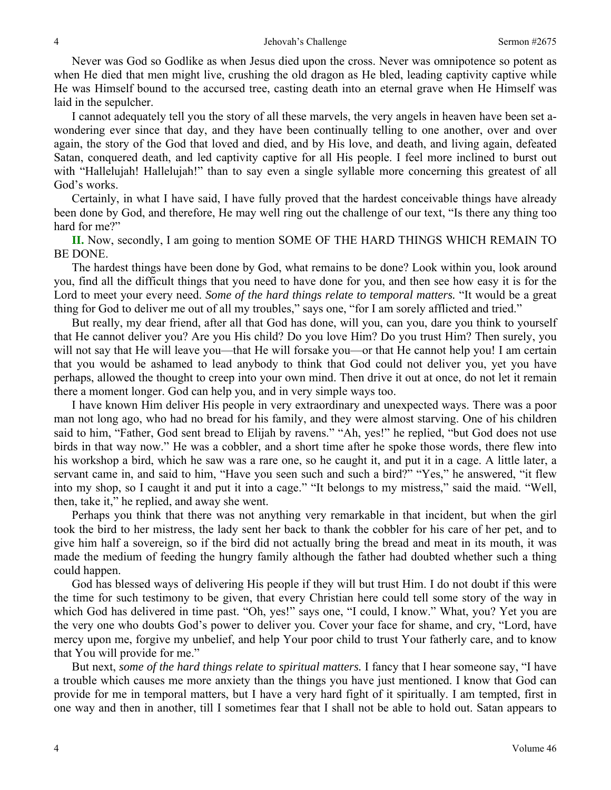Never was God so Godlike as when Jesus died upon the cross. Never was omnipotence so potent as when He died that men might live, crushing the old dragon as He bled, leading captivity captive while He was Himself bound to the accursed tree, casting death into an eternal grave when He Himself was laid in the sepulcher.

I cannot adequately tell you the story of all these marvels, the very angels in heaven have been set awondering ever since that day, and they have been continually telling to one another, over and over again, the story of the God that loved and died, and by His love, and death, and living again, defeated Satan, conquered death, and led captivity captive for all His people. I feel more inclined to burst out with "Hallelujah! Hallelujah!" than to say even a single syllable more concerning this greatest of all God's works.

Certainly, in what I have said, I have fully proved that the hardest conceivable things have already been done by God, and therefore, He may well ring out the challenge of our text, "Is there any thing too hard for me?"

**II.** Now, secondly, I am going to mention SOME OF THE HARD THINGS WHICH REMAIN TO BE DONE.

The hardest things have been done by God, what remains to be done? Look within you, look around you, find all the difficult things that you need to have done for you, and then see how easy it is for the Lord to meet your every need. *Some of the hard things relate to temporal matters.* "It would be a great thing for God to deliver me out of all my troubles," says one, "for I am sorely afflicted and tried."

But really, my dear friend, after all that God has done, will you, can you, dare you think to yourself that He cannot deliver you? Are you His child? Do you love Him? Do you trust Him? Then surely, you will not say that He will leave you—that He will forsake you—or that He cannot help you! I am certain that you would be ashamed to lead anybody to think that God could not deliver you, yet you have perhaps, allowed the thought to creep into your own mind. Then drive it out at once, do not let it remain there a moment longer. God can help you, and in very simple ways too.

I have known Him deliver His people in very extraordinary and unexpected ways. There was a poor man not long ago, who had no bread for his family, and they were almost starving. One of his children said to him, "Father, God sent bread to Elijah by ravens." "Ah, yes!" he replied, "but God does not use birds in that way now." He was a cobbler, and a short time after he spoke those words, there flew into his workshop a bird, which he saw was a rare one, so he caught it, and put it in a cage. A little later, a servant came in, and said to him, "Have you seen such and such a bird?" "Yes," he answered, "it flew into my shop, so I caught it and put it into a cage." "It belongs to my mistress," said the maid. "Well, then, take it," he replied, and away she went.

Perhaps you think that there was not anything very remarkable in that incident, but when the girl took the bird to her mistress, the lady sent her back to thank the cobbler for his care of her pet, and to give him half a sovereign, so if the bird did not actually bring the bread and meat in its mouth, it was made the medium of feeding the hungry family although the father had doubted whether such a thing could happen.

God has blessed ways of delivering His people if they will but trust Him. I do not doubt if this were the time for such testimony to be given, that every Christian here could tell some story of the way in which God has delivered in time past. "Oh, yes!" says one, "I could, I know." What, you? Yet you are the very one who doubts God's power to deliver you. Cover your face for shame, and cry, "Lord, have mercy upon me, forgive my unbelief, and help Your poor child to trust Your fatherly care, and to know that You will provide for me."

But next, *some of the hard things relate to spiritual matters.* I fancy that I hear someone say, "I have a trouble which causes me more anxiety than the things you have just mentioned. I know that God can provide for me in temporal matters, but I have a very hard fight of it spiritually. I am tempted, first in one way and then in another, till I sometimes fear that I shall not be able to hold out. Satan appears to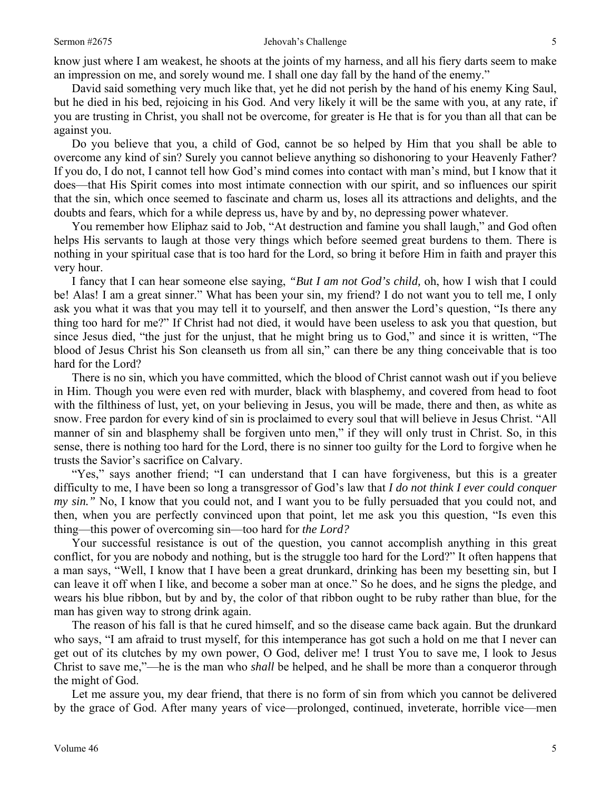know just where I am weakest, he shoots at the joints of my harness, and all his fiery darts seem to make an impression on me, and sorely wound me. I shall one day fall by the hand of the enemy."

David said something very much like that, yet he did not perish by the hand of his enemy King Saul, but he died in his bed, rejoicing in his God. And very likely it will be the same with you, at any rate, if you are trusting in Christ, you shall not be overcome, for greater is He that is for you than all that can be against you.

Do you believe that you, a child of God, cannot be so helped by Him that you shall be able to overcome any kind of sin? Surely you cannot believe anything so dishonoring to your Heavenly Father? If you do, I do not, I cannot tell how God's mind comes into contact with man's mind, but I know that it does—that His Spirit comes into most intimate connection with our spirit, and so influences our spirit that the sin, which once seemed to fascinate and charm us, loses all its attractions and delights, and the doubts and fears, which for a while depress us, have by and by, no depressing power whatever.

You remember how Eliphaz said to Job, "At destruction and famine you shall laugh," and God often helps His servants to laugh at those very things which before seemed great burdens to them. There is nothing in your spiritual case that is too hard for the Lord, so bring it before Him in faith and prayer this very hour.

I fancy that I can hear someone else saying, *"But I am not God's child,* oh, how I wish that I could be! Alas! I am a great sinner." What has been your sin, my friend? I do not want you to tell me, I only ask you what it was that you may tell it to yourself, and then answer the Lord's question, "Is there any thing too hard for me?" If Christ had not died, it would have been useless to ask you that question, but since Jesus died, "the just for the unjust, that he might bring us to God," and since it is written, "The blood of Jesus Christ his Son cleanseth us from all sin," can there be any thing conceivable that is too hard for the Lord?

There is no sin, which you have committed, which the blood of Christ cannot wash out if you believe in Him. Though you were even red with murder, black with blasphemy, and covered from head to foot with the filthiness of lust, yet, on your believing in Jesus, you will be made, there and then, as white as snow. Free pardon for every kind of sin is proclaimed to every soul that will believe in Jesus Christ. "All manner of sin and blasphemy shall be forgiven unto men," if they will only trust in Christ. So, in this sense, there is nothing too hard for the Lord, there is no sinner too guilty for the Lord to forgive when he trusts the Savior's sacrifice on Calvary.

"Yes," says another friend; "I can understand that I can have forgiveness, but this is a greater difficulty to me, I have been so long a transgressor of God's law that *I do not think I ever could conquer my sin."* No, I know that you could not, and I want you to be fully persuaded that you could not, and then, when you are perfectly convinced upon that point, let me ask you this question, "Is even this thing—this power of overcoming sin—too hard for *the Lord?* 

Your successful resistance is out of the question, you cannot accomplish anything in this great conflict, for you are nobody and nothing, but is the struggle too hard for the Lord?" It often happens that a man says, "Well, I know that I have been a great drunkard, drinking has been my besetting sin, but I can leave it off when I like, and become a sober man at once." So he does, and he signs the pledge, and wears his blue ribbon, but by and by, the color of that ribbon ought to be ruby rather than blue, for the man has given way to strong drink again.

The reason of his fall is that he cured himself, and so the disease came back again. But the drunkard who says, "I am afraid to trust myself, for this intemperance has got such a hold on me that I never can get out of its clutches by my own power, O God, deliver me! I trust You to save me, I look to Jesus Christ to save me,"—he is the man who *shall* be helped, and he shall be more than a conqueror through the might of God.

Let me assure you, my dear friend, that there is no form of sin from which you cannot be delivered by the grace of God. After many years of vice—prolonged, continued, inveterate, horrible vice—men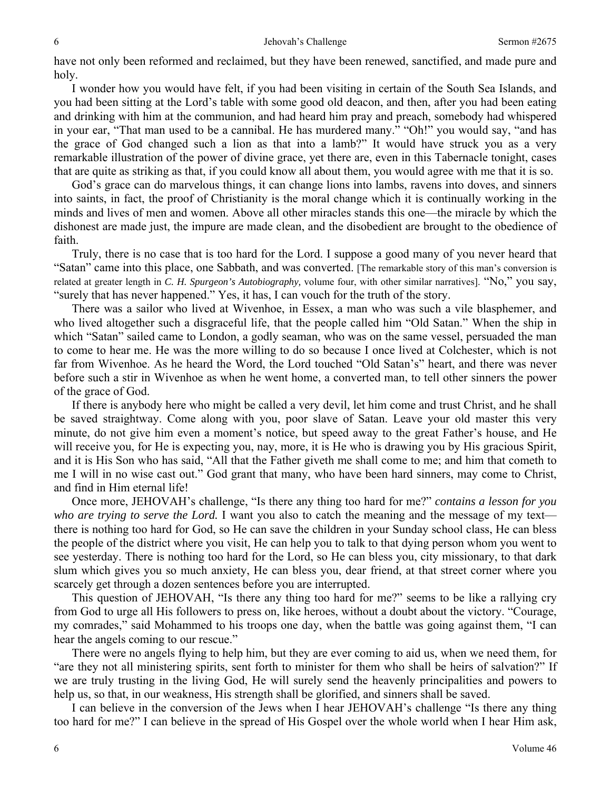have not only been reformed and reclaimed, but they have been renewed, sanctified, and made pure and holy.

I wonder how you would have felt, if you had been visiting in certain of the South Sea Islands, and you had been sitting at the Lord's table with some good old deacon, and then, after you had been eating and drinking with him at the communion, and had heard him pray and preach, somebody had whispered in your ear, "That man used to be a cannibal. He has murdered many." "Oh!" you would say, "and has the grace of God changed such a lion as that into a lamb?" It would have struck you as a very remarkable illustration of the power of divine grace, yet there are, even in this Tabernacle tonight, cases that are quite as striking as that, if you could know all about them, you would agree with me that it is so.

God's grace can do marvelous things, it can change lions into lambs, ravens into doves, and sinners into saints, in fact, the proof of Christianity is the moral change which it is continually working in the minds and lives of men and women. Above all other miracles stands this one—the miracle by which the dishonest are made just, the impure are made clean, and the disobedient are brought to the obedience of faith.

Truly, there is no case that is too hard for the Lord. I suppose a good many of you never heard that "Satan" came into this place, one Sabbath, and was converted. [The remarkable story of this man's conversion is related at greater length in *C. H. Spurgeon's Autobiography,* volume four, with other similar narratives]. "No," you say, "surely that has never happened." Yes, it has, I can vouch for the truth of the story.

There was a sailor who lived at Wivenhoe, in Essex, a man who was such a vile blasphemer, and who lived altogether such a disgraceful life, that the people called him "Old Satan." When the ship in which "Satan" sailed came to London, a godly seaman, who was on the same vessel, persuaded the man to come to hear me. He was the more willing to do so because I once lived at Colchester, which is not far from Wivenhoe. As he heard the Word, the Lord touched "Old Satan's" heart, and there was never before such a stir in Wivenhoe as when he went home, a converted man, to tell other sinners the power of the grace of God.

If there is anybody here who might be called a very devil, let him come and trust Christ, and he shall be saved straightway. Come along with you, poor slave of Satan. Leave your old master this very minute, do not give him even a moment's notice, but speed away to the great Father's house, and He will receive you, for He is expecting you, nay, more, it is He who is drawing you by His gracious Spirit, and it is His Son who has said, "All that the Father giveth me shall come to me; and him that cometh to me I will in no wise cast out." God grant that many, who have been hard sinners, may come to Christ, and find in Him eternal life!

Once more, JEHOVAH's challenge, "Is there any thing too hard for me?" *contains a lesson for you who are trying to serve the Lord.* I want you also to catch the meaning and the message of my text there is nothing too hard for God, so He can save the children in your Sunday school class, He can bless the people of the district where you visit, He can help you to talk to that dying person whom you went to see yesterday. There is nothing too hard for the Lord, so He can bless you, city missionary, to that dark slum which gives you so much anxiety, He can bless you, dear friend, at that street corner where you scarcely get through a dozen sentences before you are interrupted.

This question of JEHOVAH, "Is there any thing too hard for me?" seems to be like a rallying cry from God to urge all His followers to press on, like heroes, without a doubt about the victory. "Courage, my comrades," said Mohammed to his troops one day, when the battle was going against them, "I can hear the angels coming to our rescue."

There were no angels flying to help him, but they are ever coming to aid us, when we need them, for "are they not all ministering spirits, sent forth to minister for them who shall be heirs of salvation?" If we are truly trusting in the living God, He will surely send the heavenly principalities and powers to help us, so that, in our weakness, His strength shall be glorified, and sinners shall be saved.

I can believe in the conversion of the Jews when I hear JEHOVAH's challenge "Is there any thing too hard for me?" I can believe in the spread of His Gospel over the whole world when I hear Him ask,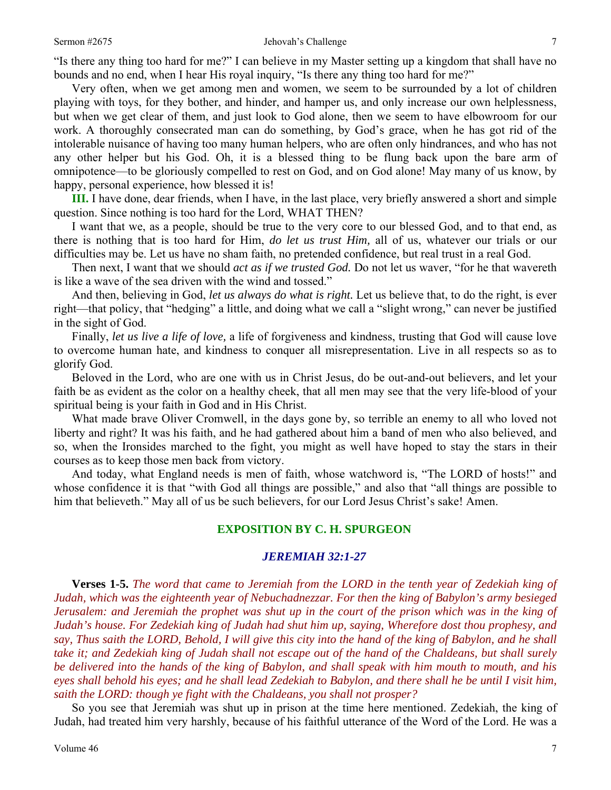Very often, when we get among men and women, we seem to be surrounded by a lot of children playing with toys, for they bother, and hinder, and hamper us, and only increase our own helplessness, but when we get clear of them, and just look to God alone, then we seem to have elbowroom for our work. A thoroughly consecrated man can do something, by God's grace, when he has got rid of the intolerable nuisance of having too many human helpers, who are often only hindrances, and who has not any other helper but his God. Oh, it is a blessed thing to be flung back upon the bare arm of omnipotence—to be gloriously compelled to rest on God, and on God alone! May many of us know, by happy, personal experience, how blessed it is!

**III.** I have done, dear friends, when I have, in the last place, very briefly answered a short and simple question. Since nothing is too hard for the Lord, WHAT THEN?

I want that we, as a people, should be true to the very core to our blessed God, and to that end, as there is nothing that is too hard for Him, *do let us trust Him,* all of us, whatever our trials or our difficulties may be. Let us have no sham faith, no pretended confidence, but real trust in a real God.

Then next, I want that we should *act as if we trusted God.* Do not let us waver, "for he that wavereth is like a wave of the sea driven with the wind and tossed."

And then, believing in God, *let us always do what is right.* Let us believe that, to do the right, is ever right—that policy, that "hedging" a little, and doing what we call a "slight wrong," can never be justified in the sight of God.

Finally, *let us live a life of love,* a life of forgiveness and kindness, trusting that God will cause love to overcome human hate, and kindness to conquer all misrepresentation. Live in all respects so as to glorify God.

Beloved in the Lord, who are one with us in Christ Jesus, do be out-and-out believers, and let your faith be as evident as the color on a healthy cheek, that all men may see that the very life-blood of your spiritual being is your faith in God and in His Christ.

What made brave Oliver Cromwell, in the days gone by, so terrible an enemy to all who loved not liberty and right? It was his faith, and he had gathered about him a band of men who also believed, and so, when the Ironsides marched to the fight, you might as well have hoped to stay the stars in their courses as to keep those men back from victory.

And today, what England needs is men of faith, whose watchword is, "The LORD of hosts!" and whose confidence it is that "with God all things are possible," and also that "all things are possible to him that believeth." May all of us be such believers, for our Lord Jesus Christ's sake! Amen.

### **EXPOSITION BY C. H. SPURGEON**

### *JEREMIAH 32:1-27*

**Verses 1-5.** *The word that came to Jeremiah from the LORD in the tenth year of Zedekiah king of Judah, which was the eighteenth year of Nebuchadnezzar. For then the king of Babylon's army besieged Jerusalem: and Jeremiah the prophet was shut up in the court of the prison which was in the king of Judah's house. For Zedekiah king of Judah had shut him up, saying, Wherefore dost thou prophesy, and say, Thus saith the LORD, Behold, I will give this city into the hand of the king of Babylon, and he shall take it; and Zedekiah king of Judah shall not escape out of the hand of the Chaldeans, but shall surely be delivered into the hands of the king of Babylon, and shall speak with him mouth to mouth, and his eyes shall behold his eyes; and he shall lead Zedekiah to Babylon, and there shall he be until I visit him, saith the LORD: though ye fight with the Chaldeans, you shall not prosper?* 

So you see that Jeremiah was shut up in prison at the time here mentioned. Zedekiah, the king of Judah, had treated him very harshly, because of his faithful utterance of the Word of the Lord. He was a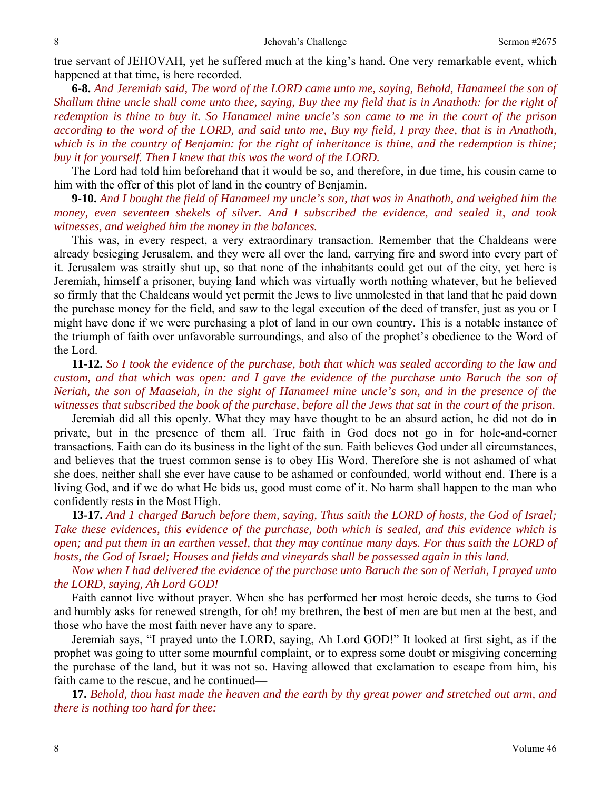true servant of JEHOVAH, yet he suffered much at the king's hand. One very remarkable event, which happened at that time, is here recorded.

**6-8.** *And Jeremiah said, The word of the LORD came unto me, saying, Behold, Hanameel the son of Shallum thine uncle shall come unto thee, saying, Buy thee my field that is in Anathoth: for the right of redemption is thine to buy it. So Hanameel mine uncle's son came to me in the court of the prison according to the word of the LORD, and said unto me, Buy my field, I pray thee, that is in Anathoth, which is in the country of Benjamin: for the right of inheritance is thine, and the redemption is thine; buy it for yourself. Then I knew that this was the word of the LORD.* 

The Lord had told him beforehand that it would be so, and therefore, in due time, his cousin came to him with the offer of this plot of land in the country of Benjamin.

**9-10.** *And I bought the field of Hanameel my uncle's son, that was in Anathoth, and weighed him the money, even seventeen shekels of silver. And I subscribed the evidence, and sealed it, and took witnesses, and weighed him the money in the balances.* 

This was, in every respect, a very extraordinary transaction. Remember that the Chaldeans were already besieging Jerusalem, and they were all over the land, carrying fire and sword into every part of it. Jerusalem was straitly shut up, so that none of the inhabitants could get out of the city, yet here is Jeremiah, himself a prisoner, buying land which was virtually worth nothing whatever, but he believed so firmly that the Chaldeans would yet permit the Jews to live unmolested in that land that he paid down the purchase money for the field, and saw to the legal execution of the deed of transfer, just as you or I might have done if we were purchasing a plot of land in our own country. This is a notable instance of the triumph of faith over unfavorable surroundings, and also of the prophet's obedience to the Word of the Lord.

**11-12.** *So I took the evidence of the purchase, both that which was sealed according to the law and custom, and that which was open: and I gave the evidence of the purchase unto Baruch the son of Neriah, the son of Maaseiah, in the sight of Hanameel mine uncle's son, and in the presence of the witnesses that subscribed the book of the purchase, before all the Jews that sat in the court of the prison.* 

Jeremiah did all this openly. What they may have thought to be an absurd action, he did not do in private, but in the presence of them all. True faith in God does not go in for hole-and-corner transactions. Faith can do its business in the light of the sun. Faith believes God under all circumstances, and believes that the truest common sense is to obey His Word. Therefore she is not ashamed of what she does, neither shall she ever have cause to be ashamed or confounded, world without end. There is a living God, and if we do what He bids us, good must come of it. No harm shall happen to the man who confidently rests in the Most High.

**13-17.** *And 1 charged Baruch before them, saying, Thus saith the LORD of hosts, the God of Israel; Take these evidences, this evidence of the purchase, both which is sealed, and this evidence which is open; and put them in an earthen vessel, that they may continue many days. For thus saith the LORD of hosts, the God of Israel; Houses and fields and vineyards shall be possessed again in this land.* 

*Now when I had delivered the evidence of the purchase unto Baruch the son of Neriah, I prayed unto the LORD, saying, Ah Lord GOD!* 

Faith cannot live without prayer. When she has performed her most heroic deeds, she turns to God and humbly asks for renewed strength, for oh! my brethren, the best of men are but men at the best, and those who have the most faith never have any to spare.

Jeremiah says, "I prayed unto the LORD, saying, Ah Lord GOD!" It looked at first sight, as if the prophet was going to utter some mournful complaint, or to express some doubt or misgiving concerning the purchase of the land, but it was not so. Having allowed that exclamation to escape from him, his faith came to the rescue, and he continued—

**17.** *Behold, thou hast made the heaven and the earth by thy great power and stretched out arm, and there is nothing too hard for thee:*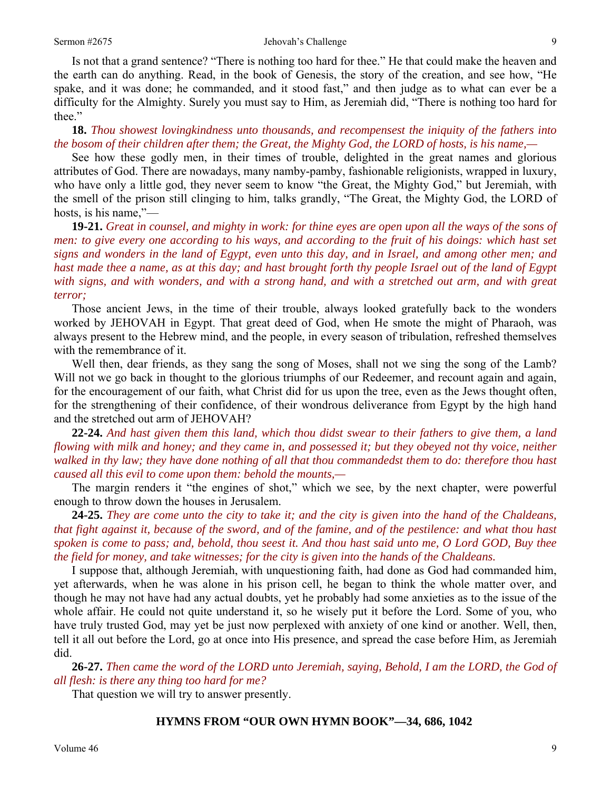#### Sermon #2675 **Sermon #2675** Jehovah's Challenge **9** 9

Is not that a grand sentence? "There is nothing too hard for thee." He that could make the heaven and the earth can do anything. Read, in the book of Genesis, the story of the creation, and see how, "He spake, and it was done; he commanded, and it stood fast," and then judge as to what can ever be a difficulty for the Almighty. Surely you must say to Him, as Jeremiah did, "There is nothing too hard for thee."

**18.** *Thou showest lovingkindness unto thousands, and recompensest the iniquity of the fathers into the bosom of their children after them; the Great, the Mighty God, the LORD of hosts, is his name,—* 

See how these godly men, in their times of trouble, delighted in the great names and glorious attributes of God. There are nowadays, many namby-pamby, fashionable religionists, wrapped in luxury, who have only a little god, they never seem to know "the Great, the Mighty God," but Jeremiah, with the smell of the prison still clinging to him, talks grandly, "The Great, the Mighty God, the LORD of hosts, is his name,"—

**19-21.** *Great in counsel, and mighty in work: for thine eyes are open upon all the ways of the sons of men: to give every one according to his ways, and according to the fruit of his doings: which hast set signs and wonders in the land of Egypt, even unto this day, and in Israel, and among other men; and hast made thee a name, as at this day; and hast brought forth thy people Israel out of the land of Egypt with signs, and with wonders, and with a strong hand, and with a stretched out arm, and with great terror;* 

Those ancient Jews, in the time of their trouble, always looked gratefully back to the wonders worked by JEHOVAH in Egypt. That great deed of God, when He smote the might of Pharaoh, was always present to the Hebrew mind, and the people, in every season of tribulation, refreshed themselves with the remembrance of it.

Well then, dear friends, as they sang the song of Moses, shall not we sing the song of the Lamb? Will not we go back in thought to the glorious triumphs of our Redeemer, and recount again and again, for the encouragement of our faith, what Christ did for us upon the tree, even as the Jews thought often, for the strengthening of their confidence, of their wondrous deliverance from Egypt by the high hand and the stretched out arm of JEHOVAH?

**22-24.** *And hast given them this land, which thou didst swear to their fathers to give them, a land flowing with milk and honey; and they came in, and possessed it; but they obeyed not thy voice, neither walked in thy law; they have done nothing of all that thou commandedst them to do: therefore thou hast caused all this evil to come upon them: behold the mounts,—* 

The margin renders it "the engines of shot," which we see, by the next chapter, were powerful enough to throw down the houses in Jerusalem.

**24-25.** *They are come unto the city to take it; and the city is given into the hand of the Chaldeans, that fight against it, because of the sword, and of the famine, and of the pestilence: and what thou hast spoken is come to pass; and, behold, thou seest it. And thou hast said unto me, O Lord GOD, Buy thee the field for money, and take witnesses; for the city is given into the hands of the Chaldeans.* 

I suppose that, although Jeremiah, with unquestioning faith, had done as God had commanded him, yet afterwards, when he was alone in his prison cell, he began to think the whole matter over, and though he may not have had any actual doubts, yet he probably had some anxieties as to the issue of the whole affair. He could not quite understand it, so he wisely put it before the Lord. Some of you, who have truly trusted God, may yet be just now perplexed with anxiety of one kind or another. Well, then, tell it all out before the Lord, go at once into His presence, and spread the case before Him, as Jeremiah did.

**26-27.** *Then came the word of the LORD unto Jeremiah, saying, Behold, I am the LORD, the God of all flesh: is there any thing too hard for me?* 

That question we will try to answer presently.

#### **HYMNS FROM "OUR OWN HYMN BOOK"—34, 686, 1042**